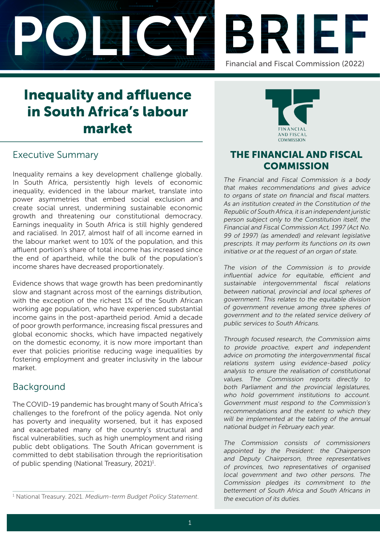



# Inequality and affluence in South Africa's labour market

## Executive Summary

Inequality remains a key development challenge globally. In South Africa, persistently high levels of economic inequality, evidenced in the labour market, translate into power asymmetries that embed social exclusion and create social unrest, undermining sustainable economic growth and threatening our constitutional democracy. Earnings inequality in South Africa is still highly gendered and racialised. In 2017, almost half of all income earned in the labour market went to 10% of the population, and this affluent portion's share of total income has increased since the end of apartheid, while the bulk of the population's income shares have decreased proportionately.

Evidence shows that wage growth has been predominantly slow and stagnant across most of the earnings distribution, with the exception of the richest 1% of the South African working age population, who have experienced substantial income gains in the post-apartheid period. Amid a decade of poor growth performance, increasing fiscal pressures and global economic shocks, which have impacted negatively on the domestic economy, it is now more important than ever that policies prioritise reducing wage inequalities by fostering employment and greater inclusivity in the labour market.

### Background

The COVID-19 pandemic has brought many of South Africa's challenges to the forefront of the policy agenda. Not only has poverty and inequality worsened, but it has exposed and exacerbated many of the country's structural and fiscal vulnerabilities, such as high unemployment and rising public debt obligations. The South African government is committed to debt stabilisation through the reprioritisation of public spending (National Treasury, 2021)<sup>1</sup>.



## THE FINANCIAL AND FISCAL **COMMISSION**

The Financial and Fiscal Commission is a body that makes recommendations and gives advice to organs of state on financial and fiscal matters. As an institution created in the Constitution of the Republic of South Africa, it is an independent juristic person subject only to the Constitution itself, the Financial and Fiscal Commission Act, 1997 (Act No. 99 of 1997) (as amended) and relevant legislative prescripts. It may perform its functions on its own initiative or at the request of an organ of state.

The vision of the Commission is to provide influential advice for equitable, efficient and sustainable intergovernmental fiscal relations between national, provincial and local spheres of government. This relates to the equitable division of government revenue among three spheres of government and to the related service delivery of public services to South Africans.

Through focused research, the Commission aims to provide proactive, expert and independent advice on promoting the intergovernmental fiscal relations system using evidence-based policy analysis to ensure the realisation of constitutional values. The Commission reports directly to both Parliament and the provincial legislatures, who hold government institutions to account. Government must respond to the Commission's recommendations and the extent to which they will be implemented at the tabling of the annual national budget in February each year.

The Commission consists of commissioners appointed by the President: the Chairperson and Deputy Chairperson, three representatives of provinces, two representatives of organised local government and two other persons. The Commission pledges its commitment to the betterment of South Africa and South Africans in

<sup>&</sup>lt;sup>1</sup> National Treasury. 2021. Medium-term Budget Policy Statement. He execution of its duties.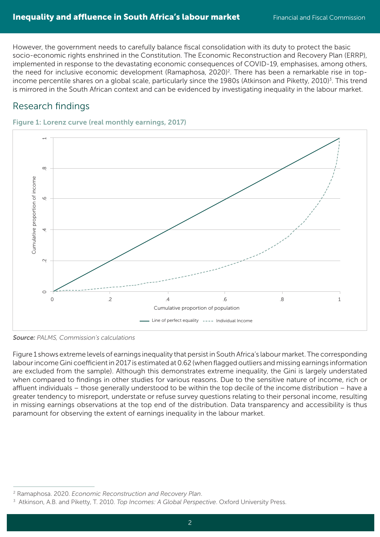However, the government needs to carefully balance fiscal consolidation with its duty to protect the basic socio-economic rights enshrined in the Constitution. The Economic Reconstruction and Recovery Plan (ERRP), implemented in response to the devastating economic consequences of COVID-19, emphasises, among others, the need for inclusive economic development (Ramaphosa, 2020)<sup>2</sup>. There has been a remarkable rise in topincome percentile shares on a global scale, particularly since the 1980s (Atkinson and Piketty, 2010)<sup>3</sup>. This trend is mirrored in the South African context and can be evidenced by investigating inequality in the labour market.

# Research findings

Figure 1: Lorenz curve (real monthly earnings, 2017)



Source: PALMS, Commission's calculations

Figure 1 shows extreme levels of earnings inequality that persist in South Africa's labour market. The corresponding labour income Gini coefficient in 2017 is estimated at 0.62 (when flagged outliers and missing earnings information are excluded from the sample). Although this demonstrates extreme inequality, the Gini is largely understated when compared to findings in other studies for various reasons. Due to the sensitive nature of income, rich or affluent individuals – those generally understood to be within the top decile of the income distribution – have a greater tendency to misreport, understate or refuse survey questions relating to their personal income, resulting in missing earnings observations at the top end of the distribution. Data transparency and accessibility is thus

<sup>2</sup> Ramaphosa. 2020. *Economic Reconstruction and Recovery Plan*.

<sup>3</sup> Atkinson, A.B. and Piketty, T. 2010. *Top Incomes: A Global Perspective*. Oxford University Press.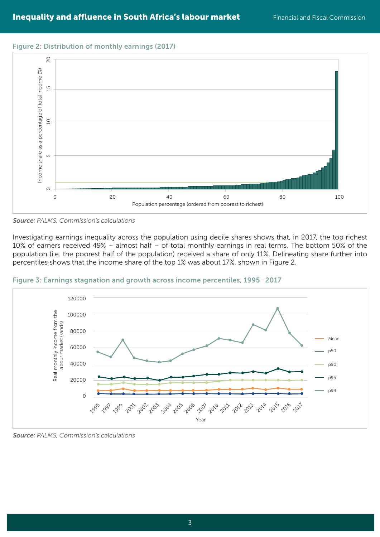#### Figure 2: Distribution of monthly earnings (2017)



Source: PALMS, Commission's calculations

Investigating earnings inequality across the population using decile shares shows that, in 2017, the top richest 10% of earners received 49% – almost half – of total monthly earnings in real terms. The bottom 50% of the population (i.e. the poorest half of the population) received a share of only 11%. Delineating share further into percentiles shows that the income share of the top 1% was about 17%, shown in Figure 2.



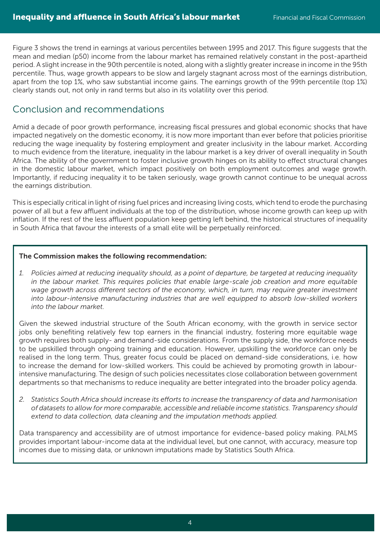Figure 3 shows the trend in earnings at various percentiles between 1995 and 2017. This figure suggests that the mean and median (p50) income from the labour market has remained relatively constant in the post-apartheid period. A slight increase in the 90th percentile is noted, along with a slightly greater increase in income in the 95th percentile. Thus, wage growth appears to be slow and largely stagnant across most of the earnings distribution, apart from the top 1%, who saw substantial income gains. The earnings growth of the 99th percentile (top 1%) clearly stands out, not only in rand terms but also in its volatility over this period.

## Conclusion and recommendations

Amid a decade of poor growth performance, increasing fiscal pressures and global economic shocks that have impacted negatively on the domestic economy, it is now more important than ever before that policies prioritise reducing the wage inequality by fostering employment and greater inclusivity in the labour market. According to much evidence from the literature, inequality in the labour market is a key driver of overall inequality in South Africa. The ability of the government to foster inclusive growth hinges on its ability to effect structural changes in the domestic labour market, which impact positively on both employment outcomes and wage growth. Importantly, if reducing inequality it to be taken seriously, wage growth cannot continue to be unequal across the earnings distribution.

This is especially critical in light of rising fuel prices and increasing living costs, which tend to erode the purchasing power of all but a few affluent individuals at the top of the distribution, whose income growth can keep up with inflation. If the rest of the less affluent population keep getting left behind, the historical structures of inequality in South Africa that favour the interests of a small elite will be perpetually reinforced.

#### The Commission makes the following recommendation:

*1. Policies aimed at reducing inequality should, as a point of departure, be targeted at reducing inequality in the labour market. This requires policies that enable large-scale job creation and more equitable wage growth across different sectors of the economy, which, in turn, may require greater investment into labour-intensive manufacturing industries that are well equipped to absorb low-skilled workers into the labour market.* 

Given the skewed industrial structure of the South African economy, with the growth in service sector jobs only benefiting relatively few top earners in the financial industry, fostering more equitable wage growth requires both supply- and demand-side considerations. From the supply side, the workforce needs to be upskilled through ongoing training and education. However, upskilling the workforce can only be realised in the long term. Thus, greater focus could be placed on demand-side considerations, i.e. how to increase the demand for low-skilled workers. This could be achieved by promoting growth in labourintensive manufacturing. The design of such policies necessitates close collaboration between government departments so that mechanisms to reduce inequality are better integrated into the broader policy agenda.

*2. Statistics South Africa should increase its efforts to increase the transparency of data and harmonisation of datasets to allow for more comparable, accessible and reliable income statistics. Transparency should extend to data collection, data cleaning and the imputation methods applied.*

Data transparency and accessibility are of utmost importance for evidence-based policy making. PALMS provides important labour-income data at the individual level, but one cannot, with accuracy, measure top incomes due to missing data, or unknown imputations made by Statistics South Africa.